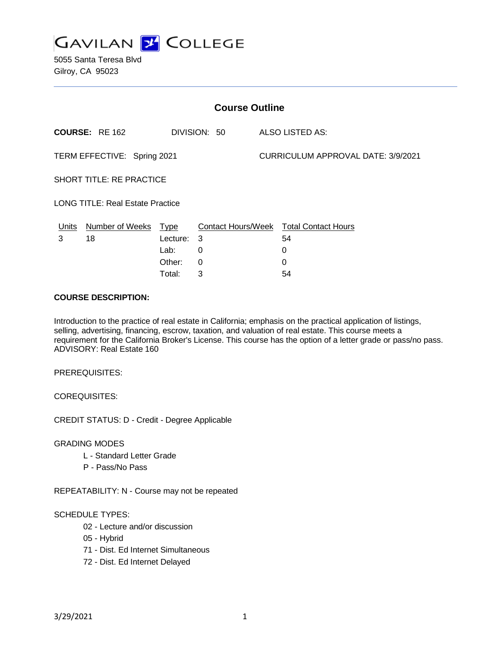

5055 Santa Teresa Blvd Gilroy, CA 95023

| <b>Course Outline</b>                   |                        |             |              |                                    |                                        |
|-----------------------------------------|------------------------|-------------|--------------|------------------------------------|----------------------------------------|
|                                         | <b>COURSE: RE 162</b>  |             | DIVISION: 50 |                                    | <b>ALSO LISTED AS:</b>                 |
| TERM EFFECTIVE: Spring 2021             |                        |             |              | CURRICULUM APPROVAL DATE: 3/9/2021 |                                        |
| <b>SHORT TITLE: RE PRACTICE</b>         |                        |             |              |                                    |                                        |
| <b>LONG TITLE: Real Estate Practice</b> |                        |             |              |                                    |                                        |
| Units                                   | <b>Number of Weeks</b> | <u>Type</u> |              |                                    | Contact Hours/Week Total Contact Hours |
| 3                                       | 18                     | Lecture:    | 3            |                                    | 54                                     |
|                                         |                        | Lab:        | 0            |                                    | 0                                      |
|                                         |                        | Other:      | 0            |                                    | 0                                      |
|                                         |                        | Total:      | 3            |                                    | 54                                     |

### **COURSE DESCRIPTION:**

Introduction to the practice of real estate in California; emphasis on the practical application of listings, selling, advertising, financing, escrow, taxation, and valuation of real estate. This course meets a requirement for the California Broker's License. This course has the option of a letter grade or pass/no pass. ADVISORY: Real Estate 160

PREREQUISITES:

COREQUISITES:

CREDIT STATUS: D - Credit - Degree Applicable

GRADING MODES

- L Standard Letter Grade
- P Pass/No Pass

REPEATABILITY: N - Course may not be repeated

#### SCHEDULE TYPES:

- 02 Lecture and/or discussion
- 05 Hybrid
- 71 Dist. Ed Internet Simultaneous
- 72 Dist. Ed Internet Delayed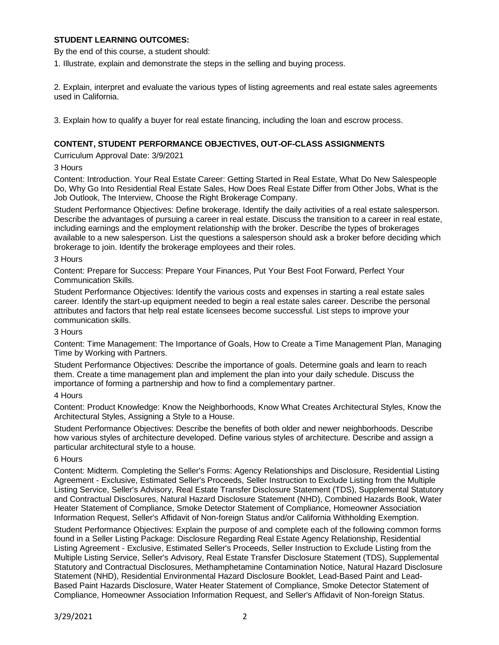# **STUDENT LEARNING OUTCOMES:**

By the end of this course, a student should:

1. Illustrate, explain and demonstrate the steps in the selling and buying process.

2. Explain, interpret and evaluate the various types of listing agreements and real estate sales agreements used in California.

3. Explain how to qualify a buyer for real estate financing, including the loan and escrow process.

# **CONTENT, STUDENT PERFORMANCE OBJECTIVES, OUT-OF-CLASS ASSIGNMENTS**

Curriculum Approval Date: 3/9/2021

#### 3 Hours

Content: Introduction. Your Real Estate Career: Getting Started in Real Estate, What Do New Salespeople Do, Why Go Into Residential Real Estate Sales, How Does Real Estate Differ from Other Jobs, What is the Job Outlook, The Interview, Choose the Right Brokerage Company.

Student Performance Objectives: Define brokerage. Identify the daily activities of a real estate salesperson. Describe the advantages of pursuing a career in real estate. Discuss the transition to a career in real estate, including earnings and the employment relationship with the broker. Describe the types of brokerages available to a new salesperson. List the questions a salesperson should ask a broker before deciding which brokerage to join. Identify the brokerage employees and their roles.

#### 3 Hours

Content: Prepare for Success: Prepare Your Finances, Put Your Best Foot Forward, Perfect Your Communication Skills.

Student Performance Objectives: Identify the various costs and expenses in starting a real estate sales career. Identify the start-up equipment needed to begin a real estate sales career. Describe the personal attributes and factors that help real estate licensees become successful. List steps to improve your communication skills.

#### 3 Hours

Content: Time Management: The Importance of Goals, How to Create a Time Management Plan, Managing Time by Working with Partners.

Student Performance Objectives: Describe the importance of goals. Determine goals and learn to reach them. Create a time management plan and implement the plan into your daily schedule. Discuss the importance of forming a partnership and how to find a complementary partner.

#### 4 Hours

Content: Product Knowledge: Know the Neighborhoods, Know What Creates Architectural Styles, Know the Architectural Styles, Assigning a Style to a House.

Student Performance Objectives: Describe the benefits of both older and newer neighborhoods. Describe how various styles of architecture developed. Define various styles of architecture. Describe and assign a particular architectural style to a house.

### 6 Hours

Content: Midterm. Completing the Seller's Forms: Agency Relationships and Disclosure, Residential Listing Agreement - Exclusive, Estimated Seller's Proceeds, Seller Instruction to Exclude Listing from the Multiple Listing Service, Seller's Advisory, Real Estate Transfer Disclosure Statement (TDS), Supplemental Statutory and Contractual Disclosures, Natural Hazard Disclosure Statement (NHD), Combined Hazards Book, Water Heater Statement of Compliance, Smoke Detector Statement of Compliance, Homeowner Association Information Request, Seller's Affidavit of Non-foreign Status and/or California Withholding Exemption.

Student Performance Objectives: Explain the purpose of and complete each of the following common forms found in a Seller Listing Package: Disclosure Regarding Real Estate Agency Relationship, Residential Listing Agreement - Exclusive, Estimated Seller's Proceeds, Seller Instruction to Exclude Listing from the Multiple Listing Service, Seller's Advisory, Real Estate Transfer Disclosure Statement (TDS), Supplemental Statutory and Contractual Disclosures, Methamphetamine Contamination Notice, Natural Hazard Disclosure Statement (NHD), Residential Environmental Hazard Disclosure Booklet, Lead-Based Paint and Lead-Based Paint Hazards Disclosure, Water Heater Statement of Compliance, Smoke Detector Statement of Compliance, Homeowner Association Information Request, and Seller's Affidavit of Non-foreign Status.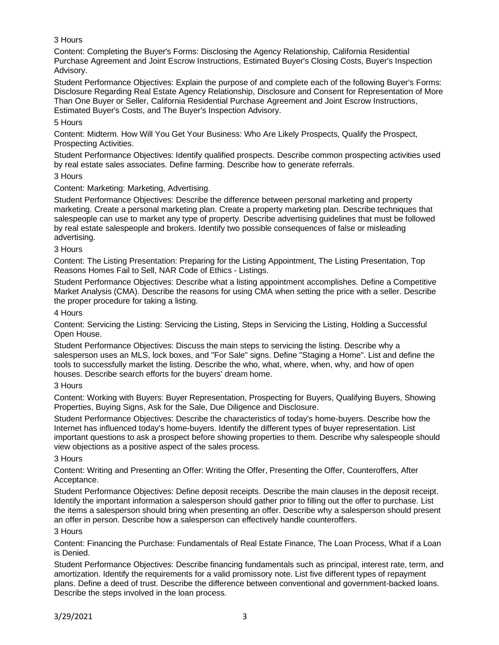# 3 Hours

Content: Completing the Buyer's Forms: Disclosing the Agency Relationship, California Residential Purchase Agreement and Joint Escrow Instructions, Estimated Buyer's Closing Costs, Buyer's Inspection Advisory.

Student Performance Objectives: Explain the purpose of and complete each of the following Buyer's Forms: Disclosure Regarding Real Estate Agency Relationship, Disclosure and Consent for Representation of More Than One Buyer or Seller, California Residential Purchase Agreement and Joint Escrow Instructions, Estimated Buyer's Costs, and The Buyer's Inspection Advisory.

### 5 Hours

Content: Midterm. How Will You Get Your Business: Who Are Likely Prospects, Qualify the Prospect, Prospecting Activities.

Student Performance Objectives: Identify qualified prospects. Describe common prospecting activities used by real estate sales associates. Define farming. Describe how to generate referrals.

### 3 Hours

Content: Marketing: Marketing, Advertising.

Student Performance Objectives: Describe the difference between personal marketing and property marketing. Create a personal marketing plan. Create a property marketing plan. Describe techniques that salespeople can use to market any type of property. Describe advertising guidelines that must be followed by real estate salespeople and brokers. Identify two possible consequences of false or misleading advertising.

### 3 Hours

Content: The Listing Presentation: Preparing for the Listing Appointment, The Listing Presentation, Top Reasons Homes Fail to Sell, NAR Code of Ethics - Listings.

Student Performance Objectives: Describe what a listing appointment accomplishes. Define a Competitive Market Analysis (CMA). Describe the reasons for using CMA when setting the price with a seller. Describe the proper procedure for taking a listing.

### 4 Hours

Content: Servicing the Listing: Servicing the Listing, Steps in Servicing the Listing, Holding a Successful Open House.

Student Performance Objectives: Discuss the main steps to servicing the listing. Describe why a salesperson uses an MLS, lock boxes, and "For Sale" signs. Define "Staging a Home". List and define the tools to successfully market the listing. Describe the who, what, where, when, why, and how of open houses. Describe search efforts for the buyers' dream home.

# 3 Hours

Content: Working with Buyers: Buyer Representation, Prospecting for Buyers, Qualifying Buyers, Showing Properties, Buying Signs, Ask for the Sale, Due Diligence and Disclosure.

Student Performance Objectives: Describe the characteristics of today's home-buyers. Describe how the Internet has influenced today's home-buyers. Identify the different types of buyer representation. List important questions to ask a prospect before showing properties to them. Describe why salespeople should view objections as a positive aspect of the sales process.

#### 3 Hours

Content: Writing and Presenting an Offer: Writing the Offer, Presenting the Offer, Counteroffers, After Acceptance.

Student Performance Objectives: Define deposit receipts. Describe the main clauses in the deposit receipt. Identify the important information a salesperson should gather prior to filling out the offer to purchase. List the items a salesperson should bring when presenting an offer. Describe why a salesperson should present an offer in person. Describe how a salesperson can effectively handle counteroffers.

#### 3 Hours

Content: Financing the Purchase: Fundamentals of Real Estate Finance, The Loan Process, What if a Loan is Denied.

Student Performance Objectives: Describe financing fundamentals such as principal, interest rate, term, and amortization. Identify the requirements for a valid promissory note. List five different types of repayment plans. Define a deed of trust. Describe the difference between conventional and government-backed loans. Describe the steps involved in the loan process.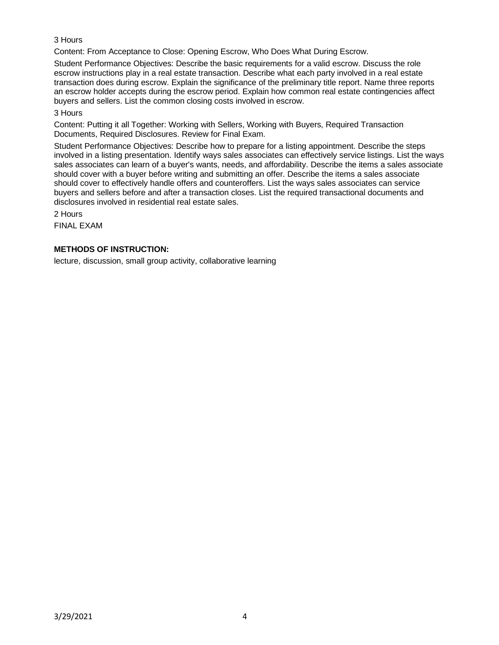# 3 Hours

Content: From Acceptance to Close: Opening Escrow, Who Does What During Escrow.

Student Performance Objectives: Describe the basic requirements for a valid escrow. Discuss the role escrow instructions play in a real estate transaction. Describe what each party involved in a real estate transaction does during escrow. Explain the significance of the preliminary title report. Name three reports an escrow holder accepts during the escrow period. Explain how common real estate contingencies affect buyers and sellers. List the common closing costs involved in escrow.

### 3 Hours

Content: Putting it all Together: Working with Sellers, Working with Buyers, Required Transaction Documents, Required Disclosures. Review for Final Exam.

Student Performance Objectives: Describe how to prepare for a listing appointment. Describe the steps involved in a listing presentation. Identify ways sales associates can effectively service listings. List the ways sales associates can learn of a buyer's wants, needs, and affordability. Describe the items a sales associate should cover with a buyer before writing and submitting an offer. Describe the items a sales associate should cover to effectively handle offers and counteroffers. List the ways sales associates can service buyers and sellers before and after a transaction closes. List the required transactional documents and disclosures involved in residential real estate sales.

2 Hours

FINAL EXAM

# **METHODS OF INSTRUCTION:**

lecture, discussion, small group activity, collaborative learning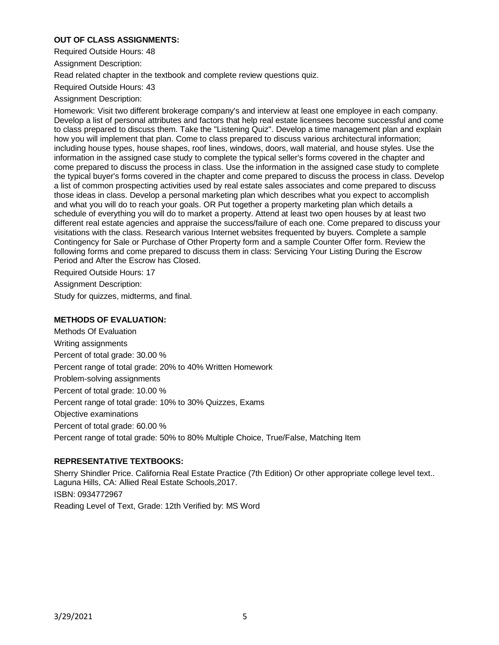# **OUT OF CLASS ASSIGNMENTS:**

Required Outside Hours: 48

Assignment Description:

Read related chapter in the textbook and complete review questions quiz.

Required Outside Hours: 43

Assignment Description:

Homework: Visit two different brokerage company's and interview at least one employee in each company. Develop a list of personal attributes and factors that help real estate licensees become successful and come to class prepared to discuss them. Take the "Listening Quiz". Develop a time management plan and explain how you will implement that plan. Come to class prepared to discuss various architectural information; including house types, house shapes, roof lines, windows, doors, wall material, and house styles. Use the information in the assigned case study to complete the typical seller's forms covered in the chapter and come prepared to discuss the process in class. Use the information in the assigned case study to complete the typical buyer's forms covered in the chapter and come prepared to discuss the process in class. Develop a list of common prospecting activities used by real estate sales associates and come prepared to discuss those ideas in class. Develop a personal marketing plan which describes what you expect to accomplish and what you will do to reach your goals. OR Put together a property marketing plan which details a schedule of everything you will do to market a property. Attend at least two open houses by at least two different real estate agencies and appraise the success/failure of each one. Come prepared to discuss your visitations with the class. Research various Internet websites frequented by buyers. Complete a sample Contingency for Sale or Purchase of Other Property form and a sample Counter Offer form. Review the following forms and come prepared to discuss them in class: Servicing Your Listing During the Escrow Period and After the Escrow has Closed.

Required Outside Hours: 17

Assignment Description:

Study for quizzes, midterms, and final.

# **METHODS OF EVALUATION:**

Methods Of Evaluation Writing assignments Percent of total grade: 30.00 % Percent range of total grade: 20% to 40% Written Homework Problem-solving assignments Percent of total grade: 10.00 % Percent range of total grade: 10% to 30% Quizzes, Exams Objective examinations Percent of total grade: 60.00 % Percent range of total grade: 50% to 80% Multiple Choice, True/False, Matching Item

# **REPRESENTATIVE TEXTBOOKS:**

Sherry Shindler Price. California Real Estate Practice (7th Edition) Or other appropriate college level text.. Laguna Hills, CA: Allied Real Estate Schools,2017. ISBN: 0934772967 Reading Level of Text, Grade: 12th Verified by: MS Word